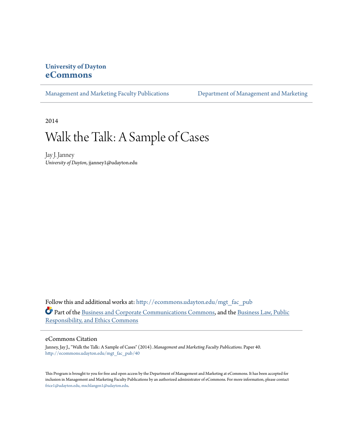# **University of Dayton [eCommons](http://ecommons.udayton.edu?utm_source=ecommons.udayton.edu%2Fmgt_fac_pub%2F40&utm_medium=PDF&utm_campaign=PDFCoverPages)**

[Management and Marketing Faculty Publications](http://ecommons.udayton.edu/mgt_fac_pub?utm_source=ecommons.udayton.edu%2Fmgt_fac_pub%2F40&utm_medium=PDF&utm_campaign=PDFCoverPages) [Department of Management and Marketing](http://ecommons.udayton.edu/mgt?utm_source=ecommons.udayton.edu%2Fmgt_fac_pub%2F40&utm_medium=PDF&utm_campaign=PDFCoverPages)

2014

# Walk the Talk: A Sample of Cases

Jay J. Janney *University of Dayton*, jjanney1@udayton.edu

Follow this and additional works at: [http://ecommons.udayton.edu/mgt\\_fac\\_pub](http://ecommons.udayton.edu/mgt_fac_pub?utm_source=ecommons.udayton.edu%2Fmgt_fac_pub%2F40&utm_medium=PDF&utm_campaign=PDFCoverPages) Part of the [Business and Corporate Communications Commons](http://network.bepress.com/hgg/discipline/627?utm_source=ecommons.udayton.edu%2Fmgt_fac_pub%2F40&utm_medium=PDF&utm_campaign=PDFCoverPages), and the [Business Law, Public](http://network.bepress.com/hgg/discipline/628?utm_source=ecommons.udayton.edu%2Fmgt_fac_pub%2F40&utm_medium=PDF&utm_campaign=PDFCoverPages) [Responsibility, and Ethics Commons](http://network.bepress.com/hgg/discipline/628?utm_source=ecommons.udayton.edu%2Fmgt_fac_pub%2F40&utm_medium=PDF&utm_campaign=PDFCoverPages)

#### eCommons Citation

Janney, Jay J., "Walk the Talk: A Sample of Cases" (2014). *Management and Marketing Faculty Publications.* Paper 40. [http://ecommons.udayton.edu/mgt\\_fac\\_pub/40](http://ecommons.udayton.edu/mgt_fac_pub/40?utm_source=ecommons.udayton.edu%2Fmgt_fac_pub%2F40&utm_medium=PDF&utm_campaign=PDFCoverPages)

This Program is brought to you for free and open access by the Department of Management and Marketing at eCommons. It has been accepted for inclusion in Management and Marketing Faculty Publications by an authorized administrator of eCommons. For more information, please contact [frice1@udayton.edu, mschlangen1@udayton.edu.](mailto:frice1@udayton.edu,%20mschlangen1@udayton.edu)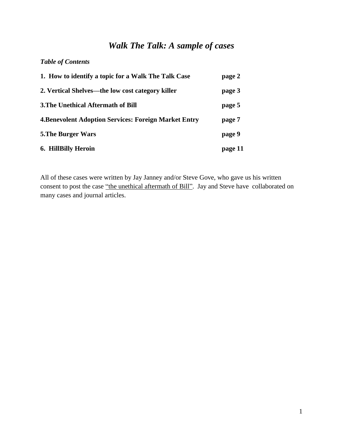# *Walk The Talk: A sample of cases*

### *Table of Contents*

| 1. How to identify a topic for a Walk The Talk Case          | page 2  |
|--------------------------------------------------------------|---------|
| 2. Vertical Shelves—the low cost category killer             | page 3  |
| <b>3. The Unethical Aftermath of Bill</b>                    | page 5  |
| <b>4. Benevolent Adoption Services: Foreign Market Entry</b> | page 7  |
| <b>5. The Burger Wars</b>                                    | page 9  |
| 6. HillBilly Heroin                                          | page 11 |

All of these cases were written by Jay Janney and/or Steve Gove, who gave us his written consent to post the case "the unethical aftermath of Bill". Jay and Steve have collaborated on many cases and journal articles.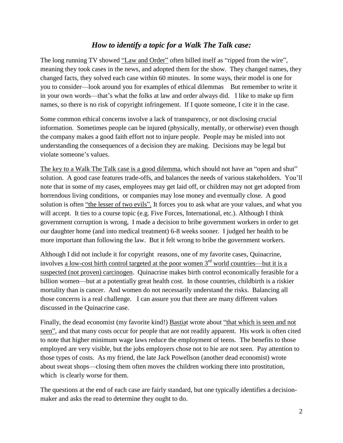# *How to identify a topic for a Walk The Talk case:*

The long running TV showed "Law and Order" often billed itself as "ripped from the wire", meaning they took cases in the news, and adopted them for the show. They changed names, they changed facts, they solved each case within 60 minutes. In some ways, their model is one for you to consider—look around you for examples of ethical dilemmas But remember to write it in your own words—that's what the folks at law and order always did. I like to make up firm names, so there is no risk of copyright infringement. If I quote someone, I cite it in the case.

Some common ethical concerns involve a lack of transparency, or not disclosing crucial information. Sometimes people can be injured (physically, mentally, or otherwise) even though the company makes a good faith effort not to injure people. People may be misled into not understanding the consequences of a decision they are making. Decisions may be legal but violate someone's values.

The key to a Walk The Talk case is a good dilemma, which should not have an "open and shut" solution. A good case features trade-offs, and balances the needs of various stakeholders. You'll note that in some of my cases, employees may get laid off, or children may not get adopted from horrendous living conditions, or companies may lose money and eventually close. A good solution is often "the lesser of two evils". It forces you to ask what are your values, and what you will accept. It ties to a course topic (e.g. Five Forces, International, etc.). Although I think government corruption is wrong, I made a decision to bribe government workers in order to get our daughter home (and into medical treatment) 6-8 weeks sooner. I judged her health to be more important than following the law. But it felt wrong to bribe the government workers.

Although I did not include it for copyright reasons, one of my favorite cases, Quinacrine, involves <u>a low-cost birth control targeted at the poor women 3<sup>rd</sup> world countries—but it is a</u> suspected (not proven) carcinogen. Quinacrine makes birth control economically ferasible for a billion women—but at a potentially great health cost. In those countries, childbirth is a riskier mortality than is cancer. And women do not necessarily understand the risks. Balancing all those concerns is a real challenge. I can assure you that there are many different values discussed in the Quinacrine case.

Finally, the dead economist (my favorite kind!) Bastiat wrote about "that which is seen and not seen", and that many costs occur for people that are not readily apparent. His work is often cited to note that higher minimum wage laws reduce the employment of teens. The benefits to those employed are very visible, but the jobs employers chose not to hie are not seen. Pay attention to those types of costs. As my friend, the late Jack Powellson (another dead economist) wrote about sweat shops—closing them often moves the children working there into prostitution, which is clearly worse for them.

The questions at the end of each case are fairly standard, but one typically identifies a decisionmaker and asks the read to determine they ought to do.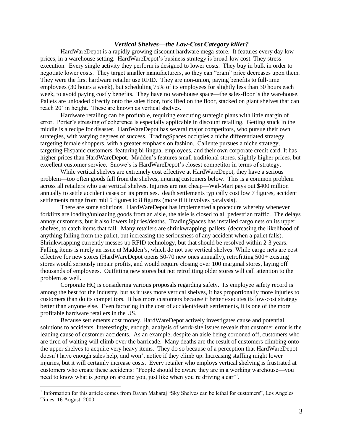#### *Vertical Shelves—the Low-Cost Category killer?*

HardWareDepot is a rapidly growing discount hardware mega-store. It features every day low prices, in a warehouse setting. HardWareDepot's business strategy is broad-low cost. They stress execution. Every single activity they perform is designed to lower costs. They buy in bulk in order to negotiate lower costs. They target smaller manufacturers, so they can "cram" price decreases upon them. They were the first hardware retailer use RFID. They are non-union, paying benefits to full-time employees (30 hours a week), but scheduling 75% of its employees for slightly less than 30 hours each week, to avoid paying costly benefits. They have no warehouse space—the sales-floor is the warehouse. Pallets are unloaded directly onto the sales floor, forklifted on the floor, stacked on giant shelves that can reach 20' in height. These are known as vertical shelves.

Hardware retailing can be profitable, requiring executing strategic plans with little margin of error. Porter's stressing of coherence is especially applicable in discount retailing. Getting stuck in the middle is a recipe for disaster. HardWareDepot has several major competitors, who pursue their own strategies, with varying degrees of success. TradingSpaces occupies a niche differentiated strategy, targeting female shoppers, with a greater emphasis on fashion. Caliente pursues a niche strategy, targeting Hispanic customers, featuring bi-lingual employees, and their own corporate credit card. It has higher prices than HardWareDepot. Madden's features small traditional stores, slightly higher prices, but excellent customer service. Snowe's is HardWareDepot's closest competitor in terms of strategy.

While vertical shelves are extremely cost effective at HardWareDepot, they have a serious problem—too often goods fall from the shelves, injuring customers below. This is a common problem across all retailers who use vertical shelves. Injuries are not cheap—Wal-Mart pays out \$400 million annually to settle accident cases on its premises. death settlements typically cost low 7 figures, accident settlements range from mid 5 figures to 8 figures (more if it involves paralysis).

There are some solutions. HardWareDepot has implemented a procedure whereby whenever forklifts are loading/unloading goods from an aisle, the aisle is closed to all pedestrian traffic. The delays annoy customers, but it also lowers injuries/deaths. TradingSpaces has installed cargo nets on its upper shelves, to catch items that fall. Many retailers are shrinkwrapping pallets, (decreasing the likelihood of anything falling from the pallet, but increasing the seriousness of any accident when a pallet falls). Shrinkwrapping currently messes up RFID technology, but that should be resolved within 2-3 years. Falling items is rarely an issue at Madden's, which do not use vertical shelves. While cargo nets are cost effective for new stores (HardWareDepot opens 50-70 new ones annually), retrofitting 500+ existing stores would seriously impair profits, and would require closing over 100 marginal stores, laying off thousands of employees. Outfitting new stores but not retrofitting older stores will call attention to the problem as well.

Corporate HQ is considering various proposals regarding safety. Its employee safety record is among the best for the industry, but as it uses more vertical shelves, it has proportionally more injuries to customers than do its competitors. It has more customers because it better executes its low-cost strategy better than anyone else. Even factoring in the cost of accident/death settlements, it is one of the more profitable hardware retailers in the US.

Because settlements cost money, HardWareDepot actively investigates cause and potential solutions to accidents. Interestingly, enough. analysis of work-site issues reveals that customer error is the leading cause of customer accidents. As an example, despite an aisle being cordoned off, customers who are tired of waiting will climb over the barricade. Many deaths are the result of customers climbing onto the upper shelves to acquire very heavy items. They do so because of a perception that HardWareDepot doesn't have enough sales help, and won't notice if they climb up. Increasing staffing might lower injuries, but it will certainly increase costs. Every retailer who employs vertical shelving is frustrated at customers who create these accidents: "People should be aware they are in a working warehouse—you need to know what is going on around you, just like when you're driving a car".

 $\overline{a}$ 

<sup>&</sup>lt;sup>1</sup> Information for this article comes from Davan Maharaj "Sky Shelves can be lethal for customers", Los Angeles Times, 16 August, 2000.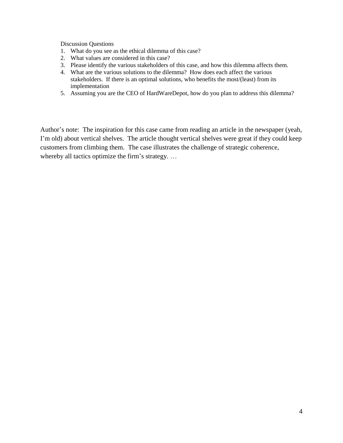Discussion Questions

- 1. What do you see as the ethical dilemma of this case?
- 2. What values are considered in this case?
- 3. Please identify the various stakeholders of this case, and how this dilemma affects them.
- 4. What are the various solutions to the dilemma? How does each affect the various stakeholders. If there is an optimal solutions, who benefits the most/(least) from its implementation
- 5. Assuming you are the CEO of HardWareDepot, how do you plan to address this dilemma?

Author's note: The inspiration for this case came from reading an article in the newspaper (yeah, I'm old) about vertical shelves. The article thought vertical shelves were great if they could keep customers from climbing them. The case illustrates the challenge of strategic coherence, whereby all tactics optimize the firm's strategy. …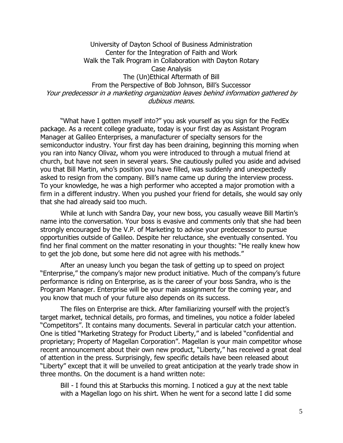University of Dayton School of Business Administration Center for the Integration of Faith and Work Walk the Talk Program in Collaboration with Dayton Rotary Case Analysis The (Un)Ethical Aftermath of Bill From the Perspective of Bob Johnson, Bill's Successor Your predecessor in a marketing organization leaves behind information gathered by dubious means.

"What have I gotten myself into?" you ask yourself as you sign for the FedEx package. As a recent college graduate, today is your first day as Assistant Program Manager at Galileo Enterprises, a manufacturer of specialty sensors for the semiconductor industry. Your first day has been draining, beginning this morning when you ran into Nancy Olivaz, whom you were introduced to through a mutual friend at church, but have not seen in several years. She cautiously pulled you aside and advised you that Bill Martin, who's position you have filled, was suddenly and unexpectedly asked to resign from the company. Bill's name came up during the interview process. To your knowledge, he was a high performer who accepted a major promotion with a firm in a different industry. When you pushed your friend for details, she would say only that she had already said too much.

While at lunch with Sandra Day, your new boss, you casually weave Bill Martin's name into the conversation. Your boss is evasive and comments only that she had been strongly encouraged by the V.P. of Marketing to advise your predecessor to pursue opportunities outside of Galileo. Despite her reluctance, she eventually consented. You find her final comment on the matter resonating in your thoughts: "He really knew how to get the job done, but some here did not agree with his methods."

After an uneasy lunch you began the task of getting up to speed on project "Enterprise," the company's major new product initiative. Much of the company's future performance is riding on Enterprise, as is the career of your boss Sandra, who is the Program Manager. Enterprise will be your main assignment for the coming year, and you know that much of your future also depends on its success.

The files on Enterprise are thick. After familiarizing yourself with the project's target market, technical details, pro formas, and timelines, you notice a folder labeled "Competitors". It contains many documents. Several in particular catch your attention. One is titled "Marketing Strategy for Product Liberty," and is labeled "confidential and proprietary; Property of Magellan Corporation". Magellan is your main competitor whose recent announcement about their own new product, "Liberty," has received a great deal of attention in the press. Surprisingly, few specific details have been released about "Liberty" except that it will be unveiled to great anticipation at the yearly trade show in three months. On the document is a hand written note:

Bill - I found this at Starbucks this morning. I noticed a guy at the next table with a Magellan logo on his shirt. When he went for a second latte I did some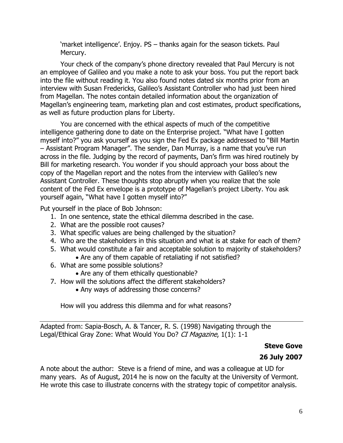'market intelligence'. Enjoy. PS – thanks again for the season tickets. Paul Mercury.

Your check of the company's phone directory revealed that Paul Mercury is not an employee of Galileo and you make a note to ask your boss. You put the report back into the file without reading it. You also found notes dated six months prior from an interview with Susan Fredericks, Galileo's Assistant Controller who had just been hired from Magellan. The notes contain detailed information about the organization of Magellan's engineering team, marketing plan and cost estimates, product specifications, as well as future production plans for Liberty.

You are concerned with the ethical aspects of much of the competitive intelligence gathering done to date on the Enterprise project. "What have I gotten myself into?" you ask yourself as you sign the Fed Ex package addressed to "Bill Martin – Assistant Program Manager". The sender, Dan Murray, is a name that you've run across in the file. Judging by the record of payments, Dan's firm was hired routinely by Bill for marketing research. You wonder if you should approach your boss about the copy of the Magellan report and the notes from the interview with Galileo's new Assistant Controller. These thoughts stop abruptly when you realize that the sole content of the Fed Ex envelope is a prototype of Magellan's project Liberty. You ask yourself again, "What have I gotten myself into?"

Put yourself in the place of Bob Johnson:

- 1. In one sentence, state the ethical dilemma described in the case.
- 2. What are the possible root causes?
- 3. What specific values are being challenged by the situation?
- 4. Who are the stakeholders in this situation and what is at stake for each of them?
- 5. What would constitute a fair and acceptable solution to majority of stakeholders? Are any of them capable of retaliating if not satisfied?
- 6. What are some possible solutions?
	- Are any of them ethically questionable?
- 7. How will the solutions affect the different stakeholders?
	- Any ways of addressing those concerns?

How will you address this dilemma and for what reasons?

Adapted from: Sapia-Bosch, A. & Tancer, R. S. (1998) Navigating through the Legal/Ethical Gray Zone: What Would You Do? CI Magazine, 1(1): 1-1

# **Steve Gove**

# **26 July 2007**

A note about the author: Steve is a friend of mine, and was a colleague at UD for many years. As of August, 2014 he is now on the faculty at the University of Vermont. He wrote this case to illustrate concerns with the strategy topic of competitor analysis.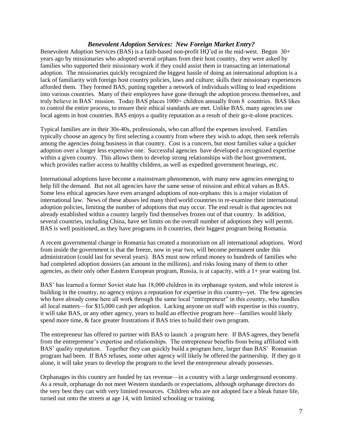#### *Benevolent Adoption Services: New Foreign Market Entry?*

Benevolent Adoption Services (BAS) is a faith-based non-profit HQ'ed in the mid-west. Begun 30+ years ago by missionaries who adopted several orphans from their host country, they were asked by families who supported their missionary work if they could assist them in transacting an international adoption. The missionaries quickly recognized the biggest hassle of doing an international adoption is a lack of familiarity with foreign host country policies, laws and culture; skills their missionary experiences afforded them. They formed BAS, putting together a network of individuals willing to lead expeditions into various countries. Many of their employees have gone through the adoption process themselves, and truly believe in BAS' mission. Today BAS places 1000+ children annually from 8 countries. BAS likes to control the entire process, to ensure their ethical standards are met. Unlike BAS, many agencies use local agents in host countries. BAS enjoys a quality reputation as a result of their go-it-alone practices.

Typical families are in their 30s-40s, professionals, who can afford the expenses involved. Families typically choose an agency by first selecting a country from where they wish to adopt, then seek referrals among the agencies doing business in that country. Cost is a concern, but most families value a quicker adoption over a longer less expensive one. Successful agencies have developed a recognized expertise within a given country. This allows them to develop strong relationships with the host government, which provides earlier access to healthy children, as well as expedited government hearings, etc.

International adoptions have become a mainstream phenomenon, with many new agencies emerging to help fill the demand. But not all agencies have the same sense of mission and ethical values as BAS. Some less ethical agencies have even arranged adoptions of non-orphans: this is a major violation of international law. News of these abuses led many third world countries to re-examine their international adoption policies, limiting the number of adoptions that may occur. The end result is that agencies not already established within a country largely find themselves frozen out of that country. In addition, several countries, including China, have set limits on the overall number of adoptions they will permit. BAS is well positioned, as they have programs in 8 countries, their biggest program being Romania.

A recent governmental change in Romania has created a moratorium on all international adoptions. Word from inside the government is that the freeze, now in year two, will become permanent under this administration (could last for several years). BAS must now refund money to hundreds of families who had completed adoption dossiers (an amount in the millions), and risks losing many of them to other agencies, as their only other Eastern European program, Russia, is at capacity, with a 1+ year waiting list.

BAS' has learned a former Soviet state has 18,000 children in its orphanage system, and while interest is building in the country, no agency enjoys a reputation for expertise in this country--yet. The few agencies who have already come here all work through the same local "entrepreneur" in this country, who handles all local matters—for \$15,000 cash per adoption. Lacking anyone on staff with expertise in this country, it will take BAS, or any other agency, years to build an effective program here—families would likely spend more time, & face greater frustrations if BAS tries to build their own program.

The entrepreneur has offered to partner with BAS to launch a program here. If BAS agrees, they benefit from the entrepreneur's expertise and relationships. The entrepreneur benefits from being affiliated with BAS' quality reputation. Together they can quickly build a program here, larger than BAS' Romanian program had been. If BAS refuses, some other agency will likely be offered the partnership. If they go it alone, it will take years to develop the program to the level the entrepreneur already possesses.

Orphanages in this country are funded by tax revenue—in a country with a large underground economy. As a result, orphanage do not meet Western standards or expectations, although orphanage directors do the very best they can with very limited resources. Children who are not adopted face a bleak future life, turned out onto the streets at age 14, with limited schooling or training.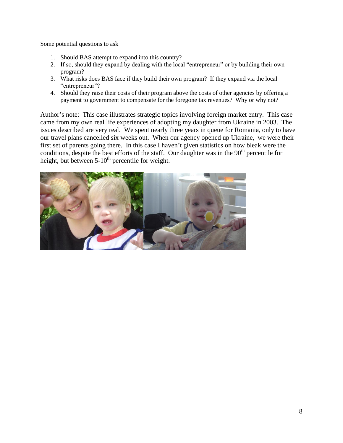Some potential questions to ask

- 1. Should BAS attempt to expand into this country?
- 2. If so, should they expand by dealing with the local "entrepreneur" or by building their own program?
- 3. What risks does BAS face if they build their own program? If they expand via the local "entrepreneur"?
- 4. Should they raise their costs of their program above the costs of other agencies by offering a payment to government to compensate for the foregone tax revenues? Why or why not?

Author's note: This case illustrates strategic topics involving foreign market entry. This case came from my own real life experiences of adopting my daughter from Ukraine in 2003. The issues described are very real. We spent nearly three years in queue for Romania, only to have our travel plans cancelled six weeks out. When our agency opened up Ukraine, we were their first set of parents going there. In this case I haven't given statistics on how bleak were the conditions, despite the best efforts of the staff. Our daughter was in the  $90<sup>th</sup>$  percentile for height, but between  $5-10^{th}$  percentile for weight.

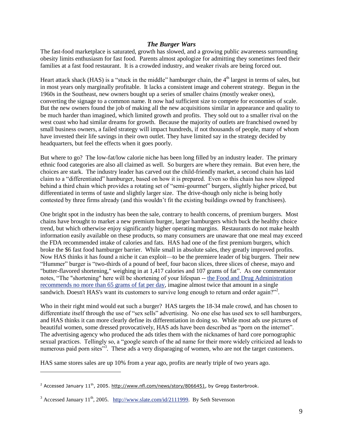#### *The Burger Wars*

The fast-food marketplace is saturated, growth has slowed, and a growing public awareness surrounding obesity limits enthusiasm for fast food. Parents almost apologize for admitting they sometimes feed their families at a fast food restaurant. It is a crowded industry, and weaker rivals are being forced out.

Heart attack shack (HAS) is a "stuck in the middle" hamburger chain, the 4<sup>th</sup> largest in terms of sales, but in most years only marginally profitable. It lacks a consistent image and coherent strategy. Begun in the 1960s in the Southeast, new owners bought up a series of smaller chains (mostly weaker ones), converting the signage to a common name. It now had sufficient size to compete for economies of scale. But the new owners found the job of making all the new acquisitions similar in appearance and quality to be much harder than imagined, which limited growth and profits. They sold out to a smaller rival on the west coast who had similar dreams for growth. Because the majority of outlets are franchised owned by small business owners, a failed strategy will impact hundreds, if not thousands of people, many of whom have invested their life savings in their own outlet. They have limited say in the strategy decided by headquarters, but feel the effects when it goes poorly.

But where to go? The low-fat/low calorie niche has been long filled by an industry leader. The primary ethnic food categories are also all claimed as well. So burgers are where they remain. But even here, the choices are stark. The industry leader has carved out the child-friendly market, a second chain has laid claim to a "differentiated" hamburger, based on how it is prepared. Even so this chain has now slipped behind a third chain which provides a rotating set of "semi-gourmet" burgers, slightly higher priced, but differentiated in terms of taste and slightly larger size. The drive-though only niche is being hotly contested by three firms already (and this wouldn't fit the existing buildings owned by franchisees).

One bright spot in the industry has been the sale, contrary to health concerns, of premium burgers. Most chains have brought to market a new premium burger, larger hamburgers which buck the healthy choice trend, but which otherwise enjoy significantly higher operating margins. Restaurants do not make health information easily available on these products, so many consumers are unaware that one meal may exceed the FDA recommended intake of calories and fats. HAS had one of the first premium burgers, which broke the \$6 fast food hamburger barrier. While small in absolute sales, they greatly improved profits. Now HAS thinks it has found a niche it can exploit—to be the premiere leader of big burgers. Their new "Hummer" burger is "two-thirds of a pound of beef, four bacon slices, three slices of cheese, mayo and "butter-flavored shortening," weighing in at 1,417 calories and 107 grams of fat". As one commentator notes, "The "shortening" here will be shortening of your lifespan -- [the Food and Drug Administration](http://www.fda.gov/fdac/special/foodlabel/dvs.html)  [recommends no more than 65 grams of fat per day,](http://www.fda.gov/fdac/special/foodlabel/dvs.html) imagine almost twice that amount in a single sandwich. Doesn't HAS's want its customers to survive long enough to return and order again?"<sup>2</sup>.

Who in their right mind would eat such a burger? HAS targets the 18-34 male crowd, and has chosen to differentiate itself through the use of "sex sells" advertising. No one else has used sex to sell hamburgers, and HAS thinks it can more clearly define its differentiation in doing so. While most ads use pictures of beautiful women, some dressed provocatively, HAS ads have been described as "porn on the internet". The advertising agency who produced the ads titles them with the nicknames of hard core pornographic sexual practices. Tellingly so, a "google search of the ad name for their more widely criticized ad leads to numerous paid porn sites"<sup>3</sup>. These ads a very disparaging of women, who are not the target customers.

HAS same stores sales are up 10% from a year ago, profits are nearly triple of two years ago.

 $\overline{a}$ 

<sup>&</sup>lt;sup>2</sup> Accessed January 11<sup>th</sup>, 2005. [http://www.nfl.com/news/story/8066451,](http://www.nfl.com/news/story/8066451) by Gregg Easterbrook.

 $3$  Accessed January 11<sup>th</sup>, 2005. [http://www.slate.com/id/2111999.](http://www.slate.com/id/2111999) By Seth Stevenson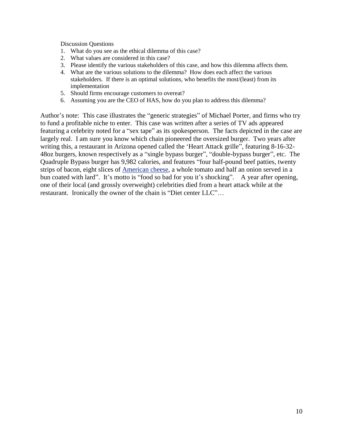Discussion Questions

- 1. What do you see as the ethical dilemma of this case?
- 2. What values are considered in this case?
- 3. Please identify the various stakeholders of this case, and how this dilemma affects them.
- 4. What are the various solutions to the dilemma? How does each affect the various stakeholders. If there is an optimal solutions, who benefits the most/(least) from its implementation
- 5. Should firms encourage customers to overeat?
- 6. Assuming you are the CEO of HAS, how do you plan to address this dilemma?

Author's note: This case illustrates the "generic strategies" of Michael Porter, and firms who try to fund a profitable niche to enter. This case was written after a series of TV ads appeared featuring a celebrity noted for a "sex tape" as its spokesperson. The facts depicted in the case are largely real. I am sure you know which chain pioneered the oversized burger. Two years after writing this, a restaurant in Arizona opened called the 'Heart Attack grille", featuring 8-16-32- 48oz burgers, known respectively as a "single bypass burger", "double-bypass burger", etc. The Quadruple Bypass burger has 9,982 calories, and features "four half-pound beef patties, twenty strips of bacon, eight slices of [American cheese,](http://en.wikipedia.org/wiki/American_cheese) a whole tomato and half an onion served in a bun coated with lard". It's motto is "food so bad for you it's shocking". A year after opening, one of their local (and grossly overweight) celebrities died from a heart attack while at the restaurant. Ironically the owner of the chain is "Diet center LLC"…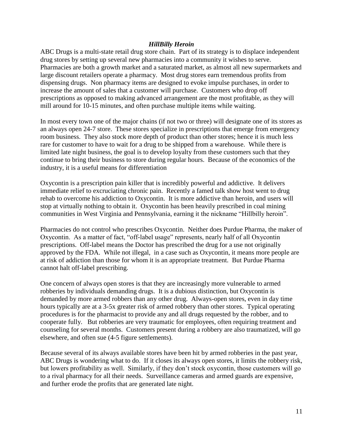#### *HillBilly Heroin*

ABC Drugs is a multi-state retail drug store chain. Part of its strategy is to displace independent drug stores by setting up several new pharmacies into a community it wishes to serve. Pharmacies are both a growth market and a saturated market, as almost all new supermarkets and large discount retailers operate a pharmacy. Most drug stores earn tremendous profits from dispensing drugs. Non pharmacy items are designed to evoke impulse purchases, in order to increase the amount of sales that a customer will purchase. Customers who drop off prescriptions as opposed to making advanced arrangement are the most profitable, as they will mill around for 10-15 minutes, and often purchase multiple items while waiting.

In most every town one of the major chains (if not two or three) will designate one of its stores as an always open 24-7 store. These stores specialize in prescriptions that emerge from emergency room business. They also stock more depth of product than other stores; hence it is much less rare for customer to have to wait for a drug to be shipped from a warehouse. While there is limited late night business, the goal is to develop loyalty from these customers such that they continue to bring their business to store during regular hours. Because of the economics of the industry, it is a useful means for differentiation

Oxycontin is a prescription pain killer that is incredibly powerful and addictive. It delivers immediate relief to excruciating chronic pain. Recently a famed talk show host went to drug rehab to overcome his addiction to Oxycontin. It is more addictive than heroin, and users will stop at virtually nothing to obtain it. Oxycontin has been heavily prescribed in coal mining communities in West Virginia and Pennsylvania, earning it the nickname "Hillbilly heroin".

Pharmacies do not control who prescribes Oxycontin. Neither does Purdue Pharma, the maker of Oxycontin. As a matter of fact, "off-label usage" represents, nearly half of all Oxycontin prescriptions. Off-label means the Doctor has prescribed the drug for a use not originally approved by the FDA. While not illegal, in a case such as Oxycontin, it means more people are at risk of addiction than those for whom it is an appropriate treatment. But Purdue Pharma cannot halt off-label prescribing.

One concern of always open stores is that they are increasingly more vulnerable to armed robberies by individuals demanding drugs. It is a dubious distinction, but Oxycontin is demanded by more armed robbers than any other drug. Always-open stores, even in day time hours typically are at a 3-5x greater risk of armed robbery than other stores. Typical operating procedures is for the pharmacist to provide any and all drugs requested by the robber, and to cooperate fully. But robberies are very traumatic for employees, often requiring treatment and counseling for several months. Customers present during a robbery are also traumatized, will go elsewhere, and often sue (4-5 figure settlements).

Because several of its always available stores have been hit by armed robberies in the past year, ABC Drugs is wondering what to do. If it closes its always open stores, it limits the robbery risk, but lowers profitability as well. Similarly, if they don't stock oxycontin, those customers will go to a rival pharmacy for all their needs. Surveillance cameras and armed guards are expensive, and further erode the profits that are generated late night.